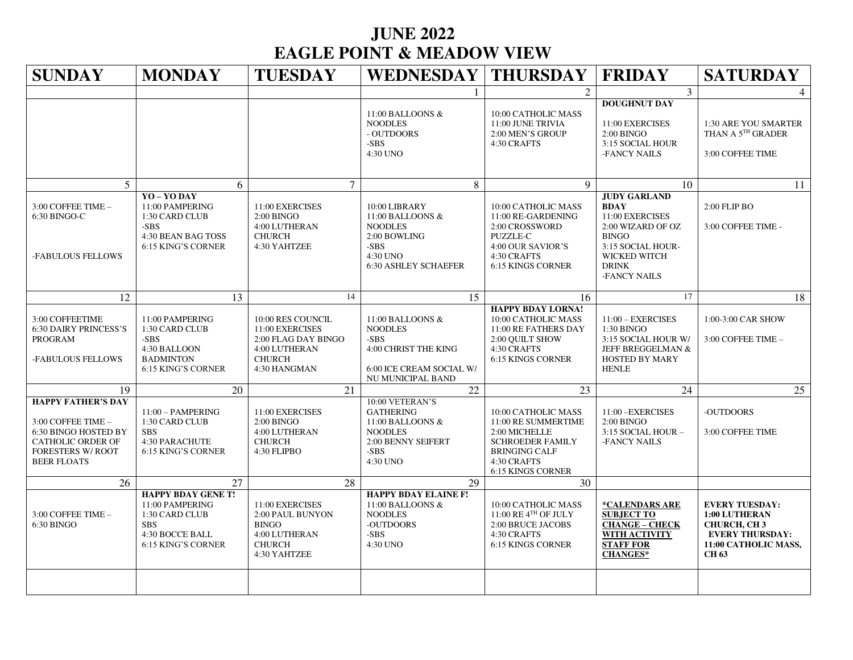## **JUNE 2022 EAGLE POINT & MEADOW VIEW**

| <b>SUNDAY</b>                                                                                                                                  | <b>MONDAY</b>                                                                                                         | <b>TUESDAY</b>                                                                                                | <b>WEDNESDAY   THURSDAY</b>                                                                                            |                                                                                                                                                    | <b>FRIDAY</b>                                                                                                                                                   | <b>SATURDAY</b>                                                                                                                       |
|------------------------------------------------------------------------------------------------------------------------------------------------|-----------------------------------------------------------------------------------------------------------------------|---------------------------------------------------------------------------------------------------------------|------------------------------------------------------------------------------------------------------------------------|----------------------------------------------------------------------------------------------------------------------------------------------------|-----------------------------------------------------------------------------------------------------------------------------------------------------------------|---------------------------------------------------------------------------------------------------------------------------------------|
|                                                                                                                                                |                                                                                                                       |                                                                                                               |                                                                                                                        | $\mathfrak{D}$                                                                                                                                     | $\overline{3}$                                                                                                                                                  |                                                                                                                                       |
|                                                                                                                                                |                                                                                                                       |                                                                                                               | 11:00 BALLOONS &<br><b>NOODLES</b><br>- OUTDOORS<br>$-SBS$<br>4:30 UNO                                                 | 10:00 CATHOLIC MASS<br>11:00 JUNE TRIVIA<br>2:00 MEN'S GROUP<br>4:30 CRAFTS                                                                        | <b>DOUGHNUT DAY</b><br>11:00 EXERCISES<br>2:00 BINGO<br>3:15 SOCIAL HOUR<br>-FANCY NAILS                                                                        | 1:30 ARE YOU SMARTER<br>THAN A $5^{\text{\tiny{TH}}}$ GRADER<br>3:00 COFFEE TIME                                                      |
| 5                                                                                                                                              | 6                                                                                                                     | $\overline{7}$                                                                                                | 8                                                                                                                      | 9                                                                                                                                                  | 10                                                                                                                                                              | 11                                                                                                                                    |
| 3:00 COFFEE TIME -<br>6:30 BINGO-C<br>-FABULOUS FELLOWS                                                                                        | YO - YO DAY<br>11:00 PAMPERING<br>1:30 CARD CLUB<br>$-SBS$<br>4:30 BEAN BAG TOSS<br>6:15 KING'S CORNER                | 11:00 EXERCISES<br>$2:00$ BINGO<br>4:00 LUTHERAN<br><b>CHURCH</b><br>4:30 YAHTZEE                             | 10:00 LIBRARY<br>11:00 BALLOONS &<br><b>NOODLES</b><br>2:00 BOWLING<br>-SBS<br>4:30 UNO<br><b>6:30 ASHLEY SCHAEFER</b> | 10:00 CATHOLIC MASS<br>11:00 RE-GARDENING<br>2:00 CROSSWORD<br><b>PUZZLE-C</b><br>4:00 OUR SAVIOR'S<br>4:30 CRAFTS<br><b>6:15 KINGS CORNER</b>     | <b>JUDY GARLAND</b><br><b>BDAY</b><br>11:00 EXERCISES<br>2:00 WIZARD OF OZ<br><b>BINGO</b><br>3:15 SOCIAL HOUR-<br>WICKED WITCH<br><b>DRINK</b><br>-FANCY NAILS | 2:00 FLIP BO<br>3:00 COFFEE TIME -                                                                                                    |
| 12                                                                                                                                             | 13                                                                                                                    | 14                                                                                                            | 15                                                                                                                     | 16                                                                                                                                                 | 17                                                                                                                                                              | 18                                                                                                                                    |
| 3:00 COFFEETIME<br><b>6:30 DAIRY PRINCESS'S</b><br><b>PROGRAM</b><br>-FABULOUS FELLOWS                                                         | 11:00 PAMPERING<br>1:30 CARD CLUB<br>$-SBS$<br>4:30 BALLOON<br><b>BADMINTON</b><br>6:15 KING'S CORNER                 | 10:00 RES COUNCIL<br>11:00 EXERCISES<br>2:00 FLAG DAY BINGO<br>4:00 LUTHERAN<br><b>CHURCH</b><br>4:30 HANGMAN | 11:00 BALLOONS &<br><b>NOODLES</b><br>$-SBS$<br>4:00 CHRIST THE KING<br>6:00 ICE CREAM SOCIAL W/<br>NU MUNICIPAL BAND  | <b>HAPPY BDAY LORNA!</b><br>10:00 CATHOLIC MASS<br>11:00 RE FATHERS DAY<br>2:00 QUILT SHOW<br>4:30 CRAFTS<br><b>6:15 KINGS CORNER</b>              | $11:00$ - EXERCISES<br>1:30 BINGO<br>3:15 SOCIAL HOUR W/<br>JEFF BREGGELMAN &<br><b>HOSTED BY MARY</b><br><b>HENLE</b>                                          | 1:00-3:00 CAR SHOW<br>3:00 COFFEE TIME -                                                                                              |
| 19                                                                                                                                             | 20                                                                                                                    | 21                                                                                                            | 22                                                                                                                     | 23                                                                                                                                                 | 24                                                                                                                                                              | 25                                                                                                                                    |
| <b>HAPPY FATHER'S DAY</b><br>3:00 COFFEE TIME -<br>6:30 BINGO HOSTED BY<br>CATHOLIC ORDER OF<br><b>FORESTERS W/ ROOT</b><br><b>BEER FLOATS</b> | $11:00 - PAMPERING$<br>1:30 CARD CLUB<br><b>SBS</b><br>4:30 PARACHUTE<br>6:15 KING'S CORNER                           | 11:00 EXERCISES<br>$2:00$ BINGO<br>4:00 LUTHERAN<br><b>CHURCH</b><br>4:30 FLIPBO                              | 10:00 VETERAN'S<br><b>GATHERING</b><br>11:00 BALLOONS &<br><b>NOODLES</b><br>2:00 BENNY SEIFERT<br>-SBS<br>4:30 UNO    | 10:00 CATHOLIC MASS<br>11:00 RE SUMMERTIME<br>2:00 MICHELLE<br><b>SCHROEDER FAMILY</b><br><b>BRINGING CALF</b><br>4:30 CRAFTS<br>6:15 KINGS CORNER | 11:00 - EXERCISES<br>$2:00$ BINGO<br>3:15 SOCIAL HOUR -<br>-FANCY NAILS                                                                                         | -OUTDOORS<br>3:00 COFFEE TIME                                                                                                         |
| 26                                                                                                                                             | 27                                                                                                                    | 28                                                                                                            | 29                                                                                                                     | 30                                                                                                                                                 |                                                                                                                                                                 |                                                                                                                                       |
| 3:00 COFFEE TIME -<br>6:30 BINGO                                                                                                               | <b>HAPPY BDAY GENE T!</b><br>11:00 PAMPERING<br>1:30 CARD CLUB<br><b>SBS</b><br>4:30 BOCCE BALL<br>6:15 KING'S CORNER | 11:00 EXERCISES<br>2:00 PAUL BUNYON<br><b>BINGO</b><br>4:00 LUTHERAN<br><b>CHURCH</b><br>4:30 YAHTZEE         | <b>HAPPY BDAY ELAINE F!</b><br>11:00 BALLOONS &<br><b>NOODLES</b><br>-OUTDOORS<br>-SBS<br>4:30 UNO                     | 10:00 CATHOLIC MASS<br>$11:00$ RE $4^{TH}$ OF JULY<br>2:00 BRUCE JACOBS<br>4:30 CRAFTS<br><b>6:15 KINGS CORNER</b>                                 | *CALENDARS ARE<br><b>SUBJECT TO</b><br><b>CHANGE - CHECK</b><br><b>WITH ACTIVITY</b><br><b>STAFF FOR</b><br><b>CHANGES*</b>                                     | <b>EVERY TUESDAY:</b><br><b>1:00 LUTHERAN</b><br><b>CHURCH, CH3</b><br><b>EVERY THURSDAY:</b><br>11:00 CATHOLIC MASS,<br><b>CH 63</b> |
|                                                                                                                                                |                                                                                                                       |                                                                                                               |                                                                                                                        |                                                                                                                                                    |                                                                                                                                                                 |                                                                                                                                       |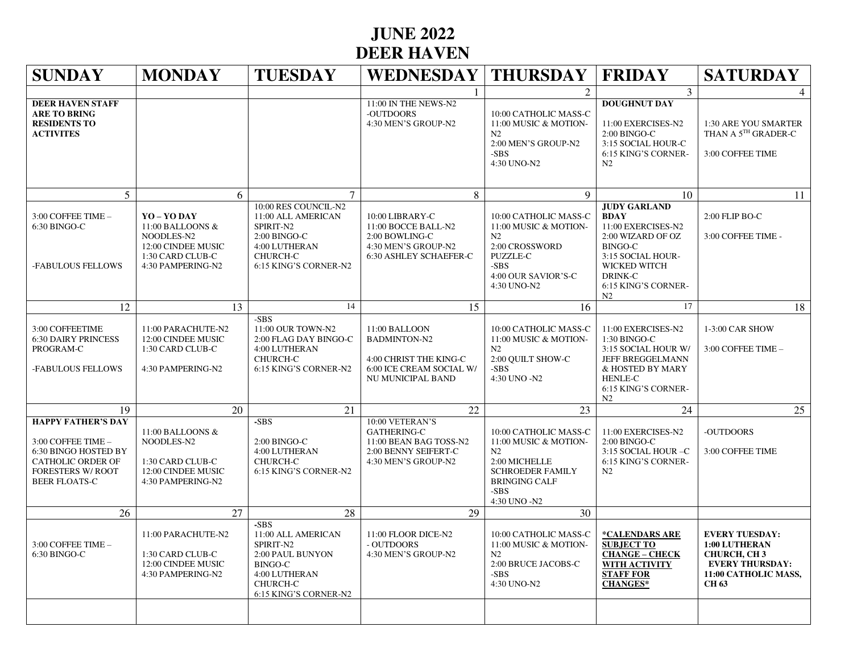## **JUNE 2022 DEER HAVEN**

| <b>SUNDAY</b>                                                                                                                                           | <b>MONDAY</b>                                                                                                | <b>TUESDAY</b>                                                                                                                             | WEDNESDAY   THURSDAY                                                                                            |                                                                                                                                                              | <b>FRIDAY</b>                                                                                                                                                                | <b>SATURDAY</b>                                                                                                               |
|---------------------------------------------------------------------------------------------------------------------------------------------------------|--------------------------------------------------------------------------------------------------------------|--------------------------------------------------------------------------------------------------------------------------------------------|-----------------------------------------------------------------------------------------------------------------|--------------------------------------------------------------------------------------------------------------------------------------------------------------|------------------------------------------------------------------------------------------------------------------------------------------------------------------------------|-------------------------------------------------------------------------------------------------------------------------------|
|                                                                                                                                                         |                                                                                                              |                                                                                                                                            |                                                                                                                 | $\mathfrak{D}$                                                                                                                                               | $\overline{3}$                                                                                                                                                               | 4                                                                                                                             |
| <b>DEER HAVEN STAFF</b><br><b>ARE TO BRING</b><br><b>RESIDENTS TO</b><br><b>ACTIVITES</b>                                                               |                                                                                                              |                                                                                                                                            | 11:00 IN THE NEWS-N2<br>-OUTDOORS<br>4:30 MEN'S GROUP-N2                                                        | 10:00 CATHOLIC MASS-C<br>11:00 MUSIC & MOTION-<br>N <sub>2</sub><br>2:00 MEN'S GROUP-N2<br>-SBS<br>4:30 UNO-N2                                               | <b>DOUGHNUT DAY</b><br>11:00 EXERCISES-N2<br>$2:00$ BINGO-C<br>3:15 SOCIAL HOUR-C<br>6:15 KING'S CORNER-<br>N2                                                               | 1:30 ARE YOU SMARTER<br>THAN A 5TH GRADER-C<br>3:00 COFFEE TIME                                                               |
| 5                                                                                                                                                       | 6                                                                                                            | 7                                                                                                                                          | 8                                                                                                               | 9                                                                                                                                                            | 10                                                                                                                                                                           | 11                                                                                                                            |
| $3:00$ COFFEE TIME $-$<br>6:30 BINGO-C<br>-FABULOUS FELLOWS                                                                                             | YO - YO DAY<br>11:00 BALLOONS &<br>NOODLES-N2<br>12:00 CINDEE MUSIC<br>1:30 CARD CLUB-C<br>4:30 PAMPERING-N2 | 10:00 RES COUNCIL-N2<br>11:00 ALL AMERICAN<br>SPIRIT-N2<br>2:00 BINGO-C<br>4:00 LUTHERAN<br><b>CHURCH-C</b><br>6:15 KING'S CORNER-N2       | 10:00 LIBRARY-C<br>11:00 BOCCE BALL-N2<br>2:00 BOWLING-C<br>4:30 MEN'S GROUP-N2<br>6:30 ASHLEY SCHAEFER-C       | 10:00 CATHOLIC MASS-C<br>11:00 MUSIC & MOTION-<br>N2<br>2:00 CROSSWORD<br><b>PUZZLE-C</b><br>-SBS<br>4:00 OUR SAVIOR'S-C<br>4:30 UNO-N2                      | <b>JUDY GARLAND</b><br><b>BDAY</b><br>11:00 EXERCISES-N2<br>2:00 WIZARD OF OZ<br><b>BINGO-C</b><br>3:15 SOCIAL HOUR-<br>WICKED WITCH<br>DRINK-C<br>6:15 KING'S CORNER-<br>N2 | 2:00 FLIP BO-C<br>3:00 COFFEE TIME -                                                                                          |
| 12                                                                                                                                                      | 13                                                                                                           | 14                                                                                                                                         | 15                                                                                                              | 16                                                                                                                                                           | 17                                                                                                                                                                           | 18                                                                                                                            |
| 3:00 COFFEETIME<br><b>6:30 DAIRY PRINCESS</b><br>PROGRAM-C<br>-FABULOUS FELLOWS                                                                         | 11:00 PARACHUTE-N2<br>12:00 CINDEE MUSIC<br>1:30 CARD CLUB-C<br>4:30 PAMPERING-N2                            | -SBS<br>11:00 OUR TOWN-N2<br>2:00 FLAG DAY BINGO-C<br>4:00 LUTHERAN<br><b>CHURCH-C</b><br>6:15 KING'S CORNER-N2                            | 11:00 BALLOON<br><b>BADMINTON-N2</b><br>4:00 CHRIST THE KING-C<br>6:00 ICE CREAM SOCIAL W/<br>NU MUNICIPAL BAND | 10:00 CATHOLIC MASS-C<br>11:00 MUSIC & MOTION-<br>N2<br>2:00 QUILT SHOW-C<br>$-SBS$<br>4:30 UNO -N2                                                          | 11:00 EXERCISES-N2<br>1:30 BINGO-C<br>3:15 SOCIAL HOUR W/<br>JEFF BREGGELMANN<br>& HOSTED BY MARY<br><b>HENLE-C</b><br>6:15 KING'S CORNER-<br>N2                             | 1-3:00 CAR SHOW<br>3:00 COFFEE TIME -                                                                                         |
| 19                                                                                                                                                      | 20                                                                                                           | 21                                                                                                                                         | 22                                                                                                              | 23                                                                                                                                                           | 24                                                                                                                                                                           | 25                                                                                                                            |
| <b>HAPPY FATHER'S DAY</b><br>3:00 COFFEE TIME -<br>6:30 BINGO HOSTED BY<br><b>CATHOLIC ORDER OF</b><br><b>FORESTERS W/ ROOT</b><br><b>BEER FLOATS-C</b> | 11:00 BALLOONS &<br>NOODLES-N2<br>1:30 CARD CLUB-C<br>12:00 CINDEE MUSIC<br>4:30 PAMPERING-N2                | -SBS<br>2:00 BINGO-C<br>4:00 LUTHERAN<br>CHURCH-C<br>6:15 KING'S CORNER-N2                                                                 | 10:00 VETERAN'S<br><b>GATHERING-C</b><br>11:00 BEAN BAG TOSS-N2<br>2:00 BENNY SEIFERT-C<br>4:30 MEN'S GROUP-N2  | 10:00 CATHOLIC MASS-C<br>11:00 MUSIC & MOTION-<br>N <sub>2</sub><br>2:00 MICHELLE<br><b>SCHROEDER FAMILY</b><br><b>BRINGING CALF</b><br>-SBS<br>4:30 UNO -N2 | 11:00 EXERCISES-N2<br>2:00 BINGO-C<br>3:15 SOCIAL HOUR -C<br>6:15 KING'S CORNER-<br>N2                                                                                       | -OUTDOORS<br>3:00 COFFEE TIME                                                                                                 |
| 26                                                                                                                                                      | 27                                                                                                           | 28                                                                                                                                         | 29                                                                                                              | 30                                                                                                                                                           |                                                                                                                                                                              |                                                                                                                               |
| 3:00 COFFEE TIME -<br>6:30 BINGO-C                                                                                                                      | 11:00 PARACHUTE-N2<br>1:30 CARD CLUB-C<br>12:00 CINDEE MUSIC<br>4:30 PAMPERING-N2                            | -SBS<br>11:00 ALL AMERICAN<br>SPIRIT-N2<br>2:00 PAUL BUNYON<br><b>BINGO-C</b><br>4:00 LUTHERAN<br><b>CHURCH-C</b><br>6:15 KING'S CORNER-N2 | 11:00 FLOOR DICE-N2<br>- OUTDOORS<br>4:30 MEN'S GROUP-N2                                                        | 10:00 CATHOLIC MASS-C<br>11:00 MUSIC & MOTION-<br>N2<br>2:00 BRUCE JACOBS-C<br>-SBS<br>4:30 UNO-N2                                                           | *CALENDARS ARE<br><b>SUBJECT TO</b><br><b>CHANGE - CHECK</b><br>WITH ACTIVITY<br><b>STAFF FOR</b><br><b>CHANGES*</b>                                                         | <b>EVERY TUESDAY:</b><br>1:00 LUTHERAN<br><b>CHURCH, CH3</b><br><b>EVERY THURSDAY:</b><br>11:00 CATHOLIC MASS,<br><b>CH63</b> |
|                                                                                                                                                         |                                                                                                              |                                                                                                                                            |                                                                                                                 |                                                                                                                                                              |                                                                                                                                                                              |                                                                                                                               |